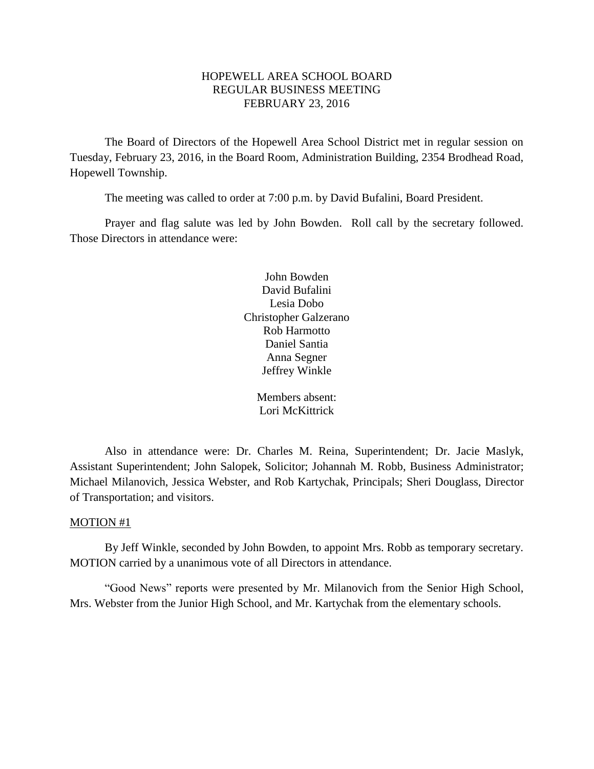## HOPEWELL AREA SCHOOL BOARD REGULAR BUSINESS MEETING FEBRUARY 23, 2016

The Board of Directors of the Hopewell Area School District met in regular session on Tuesday, February 23, 2016, in the Board Room, Administration Building, 2354 Brodhead Road, Hopewell Township.

The meeting was called to order at 7:00 p.m. by David Bufalini, Board President.

Prayer and flag salute was led by John Bowden. Roll call by the secretary followed. Those Directors in attendance were:

> John Bowden David Bufalini Lesia Dobo Christopher Galzerano Rob Harmotto Daniel Santia Anna Segner Jeffrey Winkle

> > Members absent: Lori McKittrick

Also in attendance were: Dr. Charles M. Reina, Superintendent; Dr. Jacie Maslyk, Assistant Superintendent; John Salopek, Solicitor; Johannah M. Robb, Business Administrator; Michael Milanovich, Jessica Webster, and Rob Kartychak, Principals; Sheri Douglass, Director of Transportation; and visitors.

#### MOTION #1

By Jeff Winkle, seconded by John Bowden, to appoint Mrs. Robb as temporary secretary. MOTION carried by a unanimous vote of all Directors in attendance.

"Good News" reports were presented by Mr. Milanovich from the Senior High School, Mrs. Webster from the Junior High School, and Mr. Kartychak from the elementary schools.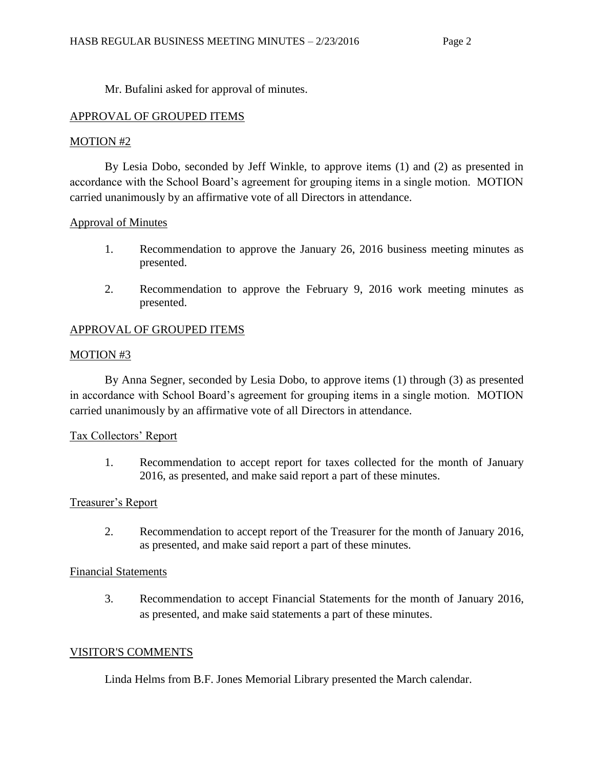Mr. Bufalini asked for approval of minutes.

# APPROVAL OF GROUPED ITEMS

# MOTION #2

By Lesia Dobo, seconded by Jeff Winkle, to approve items (1) and (2) as presented in accordance with the School Board's agreement for grouping items in a single motion. MOTION carried unanimously by an affirmative vote of all Directors in attendance.

# Approval of Minutes

- 1. Recommendation to approve the January 26, 2016 business meeting minutes as presented.
- 2. Recommendation to approve the February 9, 2016 work meeting minutes as presented.

# APPROVAL OF GROUPED ITEMS

## MOTION #3

By Anna Segner, seconded by Lesia Dobo, to approve items (1) through (3) as presented in accordance with School Board's agreement for grouping items in a single motion. MOTION carried unanimously by an affirmative vote of all Directors in attendance.

## Tax Collectors' Report

1. Recommendation to accept report for taxes collected for the month of January 2016, as presented, and make said report a part of these minutes.

## Treasurer's Report

2. Recommendation to accept report of the Treasurer for the month of January 2016, as presented, and make said report a part of these minutes.

## Financial Statements

3. Recommendation to accept Financial Statements for the month of January 2016, as presented, and make said statements a part of these minutes.

## VISITOR'S COMMENTS

Linda Helms from B.F. Jones Memorial Library presented the March calendar.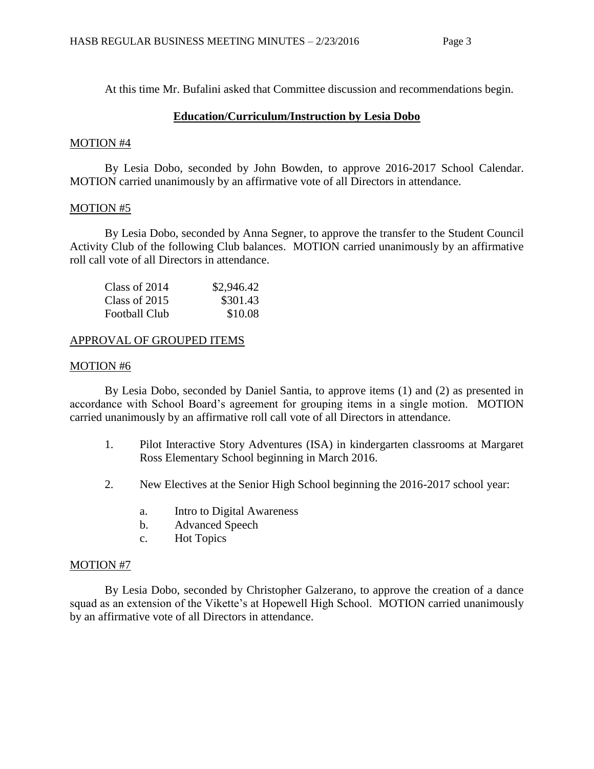At this time Mr. Bufalini asked that Committee discussion and recommendations begin.

# **Education/Curriculum/Instruction by Lesia Dobo**

#### MOTION #4

By Lesia Dobo, seconded by John Bowden, to approve 2016-2017 School Calendar. MOTION carried unanimously by an affirmative vote of all Directors in attendance.

## MOTION #5

By Lesia Dobo, seconded by Anna Segner, to approve the transfer to the Student Council Activity Club of the following Club balances. MOTION carried unanimously by an affirmative roll call vote of all Directors in attendance.

| Class of 2014        | \$2,946.42 |
|----------------------|------------|
| Class of 2015        | \$301.43   |
| <b>Football Club</b> | \$10.08    |

## APPROVAL OF GROUPED ITEMS

#### MOTION #6

By Lesia Dobo, seconded by Daniel Santia, to approve items (1) and (2) as presented in accordance with School Board's agreement for grouping items in a single motion. MOTION carried unanimously by an affirmative roll call vote of all Directors in attendance.

- 1. Pilot Interactive Story Adventures (ISA) in kindergarten classrooms at Margaret Ross Elementary School beginning in March 2016.
- 2. New Electives at the Senior High School beginning the 2016-2017 school year:
	- a. Intro to Digital Awareness
	- b. Advanced Speech
	- c. Hot Topics

## MOTION #7

By Lesia Dobo, seconded by Christopher Galzerano, to approve the creation of a dance squad as an extension of the Vikette's at Hopewell High School. MOTION carried unanimously by an affirmative vote of all Directors in attendance.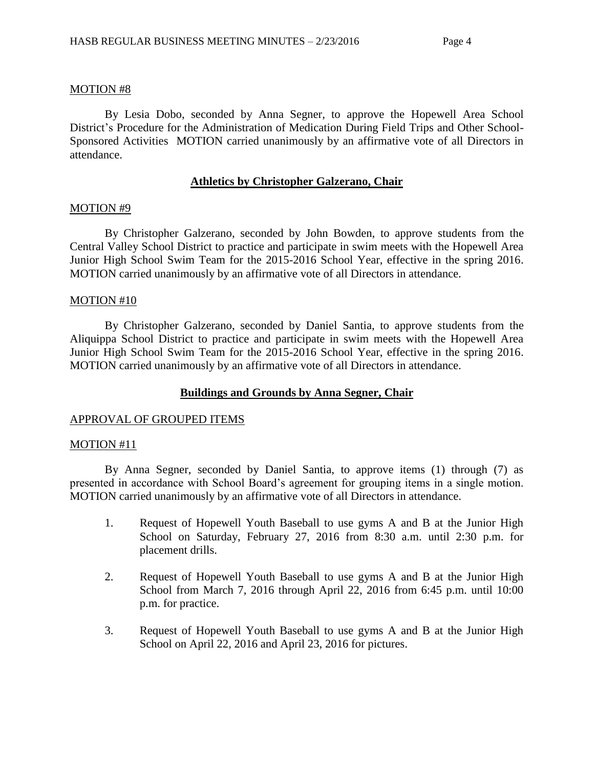## MOTION #8

By Lesia Dobo, seconded by Anna Segner, to approve the Hopewell Area School District's Procedure for the Administration of Medication During Field Trips and Other School-Sponsored Activities MOTION carried unanimously by an affirmative vote of all Directors in attendance.

#### **Athletics by Christopher Galzerano, Chair**

#### MOTION #9

By Christopher Galzerano, seconded by John Bowden, to approve students from the Central Valley School District to practice and participate in swim meets with the Hopewell Area Junior High School Swim Team for the 2015-2016 School Year, effective in the spring 2016. MOTION carried unanimously by an affirmative vote of all Directors in attendance.

#### MOTION #10

By Christopher Galzerano, seconded by Daniel Santia, to approve students from the Aliquippa School District to practice and participate in swim meets with the Hopewell Area Junior High School Swim Team for the 2015-2016 School Year, effective in the spring 2016. MOTION carried unanimously by an affirmative vote of all Directors in attendance.

## **Buildings and Grounds by Anna Segner, Chair**

#### APPROVAL OF GROUPED ITEMS

#### MOTION #11

By Anna Segner, seconded by Daniel Santia, to approve items (1) through (7) as presented in accordance with School Board's agreement for grouping items in a single motion. MOTION carried unanimously by an affirmative vote of all Directors in attendance.

- 1. Request of Hopewell Youth Baseball to use gyms A and B at the Junior High School on Saturday, February 27, 2016 from 8:30 a.m. until 2:30 p.m. for placement drills.
- 2. Request of Hopewell Youth Baseball to use gyms A and B at the Junior High School from March 7, 2016 through April 22, 2016 from 6:45 p.m. until 10:00 p.m. for practice.
- 3. Request of Hopewell Youth Baseball to use gyms A and B at the Junior High School on April 22, 2016 and April 23, 2016 for pictures.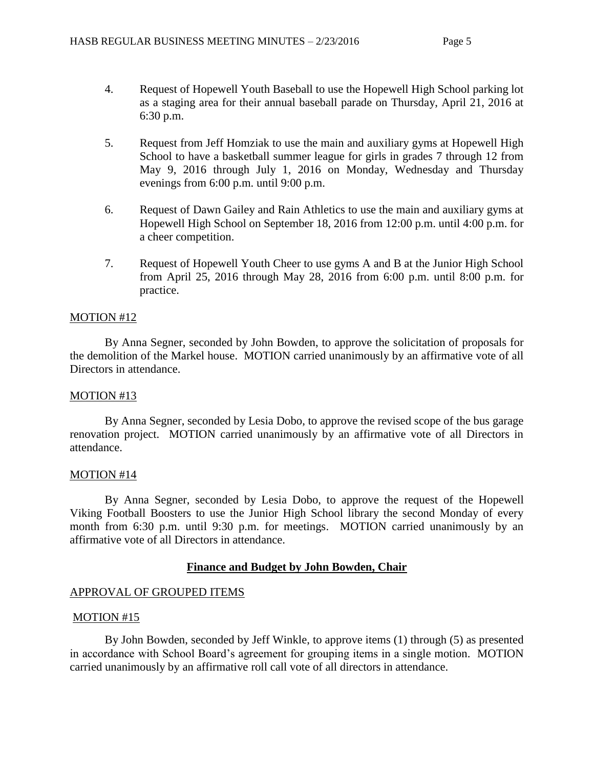- 4. Request of Hopewell Youth Baseball to use the Hopewell High School parking lot as a staging area for their annual baseball parade on Thursday, April 21, 2016 at 6:30 p.m.
- 5. Request from Jeff Homziak to use the main and auxiliary gyms at Hopewell High School to have a basketball summer league for girls in grades 7 through 12 from May 9, 2016 through July 1, 2016 on Monday, Wednesday and Thursday evenings from 6:00 p.m. until 9:00 p.m.
- 6. Request of Dawn Gailey and Rain Athletics to use the main and auxiliary gyms at Hopewell High School on September 18, 2016 from 12:00 p.m. until 4:00 p.m. for a cheer competition.
- 7. Request of Hopewell Youth Cheer to use gyms A and B at the Junior High School from April 25, 2016 through May 28, 2016 from 6:00 p.m. until 8:00 p.m. for practice.

## MOTION #12

By Anna Segner, seconded by John Bowden, to approve the solicitation of proposals for the demolition of the Markel house. MOTION carried unanimously by an affirmative vote of all Directors in attendance.

## MOTION #13

By Anna Segner, seconded by Lesia Dobo, to approve the revised scope of the bus garage renovation project. MOTION carried unanimously by an affirmative vote of all Directors in attendance.

## MOTION #14

By Anna Segner, seconded by Lesia Dobo, to approve the request of the Hopewell Viking Football Boosters to use the Junior High School library the second Monday of every month from 6:30 p.m. until 9:30 p.m. for meetings. MOTION carried unanimously by an affirmative vote of all Directors in attendance.

# **Finance and Budget by John Bowden, Chair**

## APPROVAL OF GROUPED ITEMS

## MOTION #15

By John Bowden, seconded by Jeff Winkle, to approve items (1) through (5) as presented in accordance with School Board's agreement for grouping items in a single motion. MOTION carried unanimously by an affirmative roll call vote of all directors in attendance.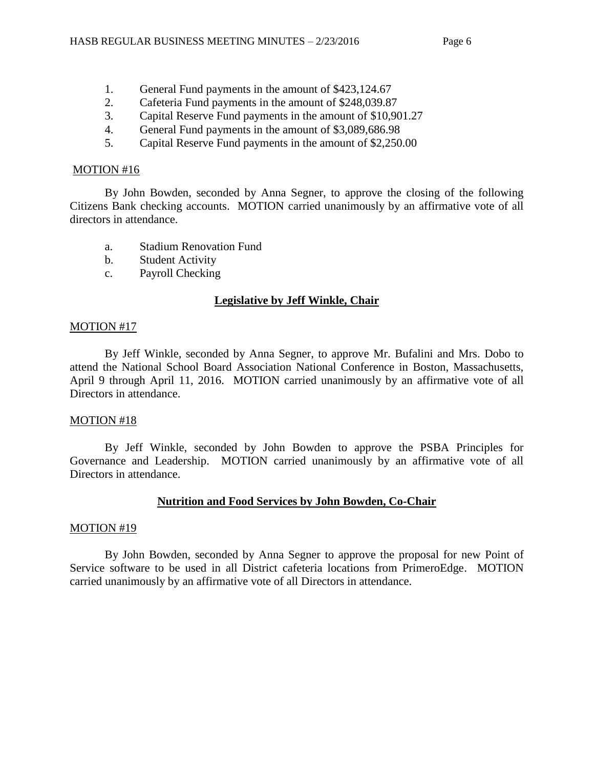- 1. General Fund payments in the amount of \$423,124.67
- 2. Cafeteria Fund payments in the amount of \$248,039.87
- 3. Capital Reserve Fund payments in the amount of \$10,901.27
- 4. General Fund payments in the amount of \$3,089,686.98
- 5. Capital Reserve Fund payments in the amount of \$2,250.00

# MOTION #16

By John Bowden, seconded by Anna Segner, to approve the closing of the following Citizens Bank checking accounts. MOTION carried unanimously by an affirmative vote of all directors in attendance.

- a. Stadium Renovation Fund
- b. Student Activity
- c. Payroll Checking

# **Legislative by Jeff Winkle, Chair**

## MOTION #17

By Jeff Winkle, seconded by Anna Segner, to approve Mr. Bufalini and Mrs. Dobo to attend the National School Board Association National Conference in Boston, Massachusetts, April 9 through April 11, 2016. MOTION carried unanimously by an affirmative vote of all Directors in attendance.

## MOTION #18

By Jeff Winkle, seconded by John Bowden to approve the PSBA Principles for Governance and Leadership. MOTION carried unanimously by an affirmative vote of all Directors in attendance.

## **Nutrition and Food Services by John Bowden, Co-Chair**

## MOTION #19

By John Bowden, seconded by Anna Segner to approve the proposal for new Point of Service software to be used in all District cafeteria locations from PrimeroEdge. MOTION carried unanimously by an affirmative vote of all Directors in attendance.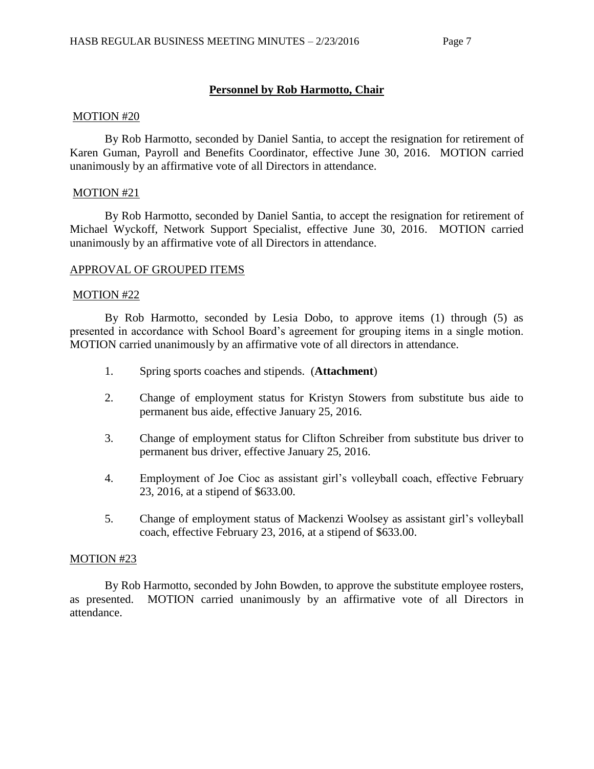#### **Personnel by Rob Harmotto, Chair**

#### MOTION #20

By Rob Harmotto, seconded by Daniel Santia, to accept the resignation for retirement of Karen Guman, Payroll and Benefits Coordinator, effective June 30, 2016. MOTION carried unanimously by an affirmative vote of all Directors in attendance.

#### MOTION #21

By Rob Harmotto, seconded by Daniel Santia, to accept the resignation for retirement of Michael Wyckoff, Network Support Specialist, effective June 30, 2016. MOTION carried unanimously by an affirmative vote of all Directors in attendance.

#### APPROVAL OF GROUPED ITEMS

#### MOTION #22

By Rob Harmotto, seconded by Lesia Dobo, to approve items (1) through (5) as presented in accordance with School Board's agreement for grouping items in a single motion. MOTION carried unanimously by an affirmative vote of all directors in attendance.

- 1. Spring sports coaches and stipends. (**Attachment**)
- 2. Change of employment status for Kristyn Stowers from substitute bus aide to permanent bus aide, effective January 25, 2016.
- 3. Change of employment status for Clifton Schreiber from substitute bus driver to permanent bus driver, effective January 25, 2016.
- 4. Employment of Joe Cioc as assistant girl's volleyball coach, effective February 23, 2016, at a stipend of \$633.00.
- 5. Change of employment status of Mackenzi Woolsey as assistant girl's volleyball coach, effective February 23, 2016, at a stipend of \$633.00.

#### MOTION #23

By Rob Harmotto, seconded by John Bowden, to approve the substitute employee rosters, as presented. MOTION carried unanimously by an affirmative vote of all Directors in attendance.